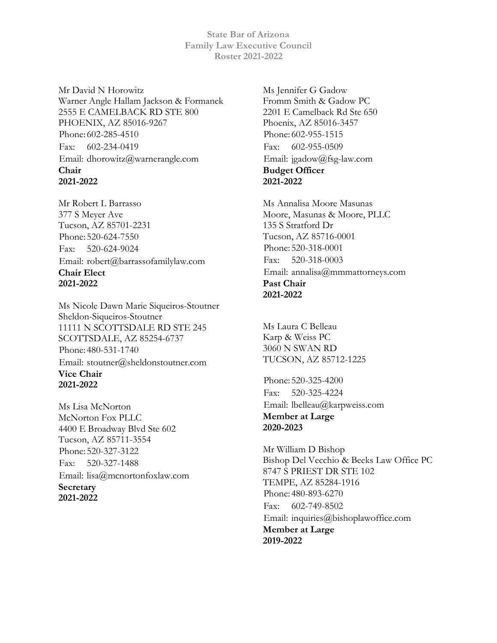**State Bar of Arizona Family Law Executive Council Roster 2021-2022**

Mr David N Horowitz Warner Angle Hallam Jackson & Formanek 2555 E CAMELBACK RD STE 800 PHOENIX, AZ 85016-9267 Phone: 602-285-4510 Fax: 602-234-0419 Email: dhorowitz@warnerangle.com **Chair 2021-2022**

Mr Robert L Barrasso 377 S Meyer Ave Tucson, AZ 85701-2231 Phone: 520-624-7550 Fax: 520-624-9024 Email: robert@barrassofamilylaw.com **Chair Elect 2021-2022**

Ms Nicole Dawn Marie Siqueiros-Stoutner Sheldon-Siqueiros-Stoutner 11111 N SCOTTSDALE RD STE 245 SCOTTSDALE, AZ 85254-6737 Phone: 480-531-1740 Email: stoutner@sheldonstoutner.com **Vice Chair 2021-2022**

Ms Lisa McNorton McNorton Fox PLLC 4400 E Broadway Blvd Ste 602 Tucson, AZ 85711-3554 Phone: 520-327-3122 Fax: 520-327-1488 Email: lisa@mcnortonfoxlaw.com **Secretary 2021-2022**

Ms Jennifer G Gadow Fromm Smith & Gadow PC 2201 E Camelback Rd Ste 650 Phoenix, AZ 85016-3457 Phone: 602-955-1515 Fax: 602-955-0509 Email: jgadow@fsg-law.com **Budget Officer 2021-2022**

Ms Annalisa Moore Masunas Moore, Masunas & Moore, PLLC 135 S Stratford Dr Tucson, AZ 85716-0001 Phone: 520-318-0001 Fax: 520-318-0003 Email: annalisa@mmmattorneys.com **Past Chair 2021-2022**

Ms Laura C Belleau Karp & Weiss PC 3060 N SWAN RD TUCSON, AZ 85712-1225

Phone: 520-325-4200 Fax: 520-325-4224 Email: lbelleau@karpweiss.com **Member at Large 2020-2023**

Mr William D Bishop Bishop Del Vecchio & Beeks Law Office PC 8747 S PRIEST DR STE 102 TEMPE, AZ 85284-1916 Phone: 480-893-6270 Fax: 602-749-8502 Email: inquiries@bishoplawoffice.com **Member at Large 2019-2022**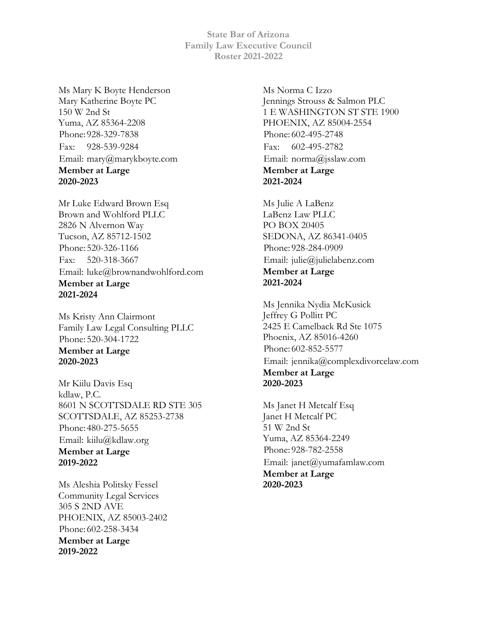**State Bar of Arizona Family Law Executive Council Roster 2021-2022**

Ms Mary K Boyte Henderson Mary Katherine Boyte PC 150 W 2nd St Yuma, AZ 85364-2208 Phone: 928-329-7838 Fax: 928-539-9284 Email: mary@marykboyte.com **Member at Large 2020-2023**

Mr Luke Edward Brown Esq Brown and Wohlford PLLC 2826 N Alvernon Way Tucson, AZ 85712-1502 Phone: 520-326-1166 Fax: 520-318-3667 Email: luke@brownandwohlford.com **Member at Large 2021-2024**

Ms Kristy Ann Clairmont Family Law Legal Consulting PLLC Phone: 520-304-1722 **Member at Large 2020-2023**

Mr Kiilu Davis Esq kdlaw, P.C. 8601 N SCOTTSDALE RD STE 305 SCOTTSDALE, AZ 85253-2738 Phone: 480-275-5655 Email: kiilu@kdlaw.org **Member at Large 2019-2022**

Ms Aleshia Politsky Fessel Community Legal Services 305 S 2ND AVE PHOENIX, AZ 85003-2402 Phone: 602-258-3434 **Member at Large 2019-2022**

Ms Norma C Izzo Jennings Strouss & Salmon PLC 1 E WASHINGTON ST STE 1900 PHOENIX, AZ 85004-2554 Phone: 602-495-2748 Fax: 602-495-2782 Email: norma@jsslaw.com **Member at Large 2021-2024**

Ms Julie A LaBenz LaBenz Law PLLC PO BOX 20405 SEDONA, AZ 86341-0405 Phone: 928-284-0909 Email: julie@julielabenz.com **Member at Large 2021-2024**

Ms Jennika Nydia McKusick Jeffrey G Pollitt PC 2425 E Camelback Rd Ste 1075 Phoenix, AZ 85016-4260 Phone: 602-852-5577 Email: jennika@complexdivorcelaw.com **Member at Large 2020-2023**

Ms Janet H Metcalf Esq Janet H Metcalf PC 51 W 2nd St Yuma, AZ 85364-2249 Phone: 928-782-2558 Email: janet@yumafamlaw.com **Member at Large 2020-2023**